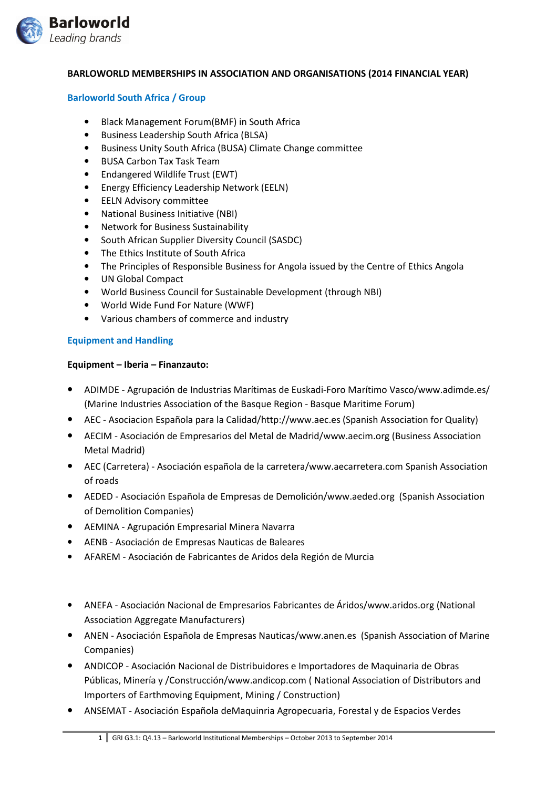

## BARLOWORLD MEMBERSHIPS IN ASSOCIATION AND ORGANISATIONS (2014 FINANCIAL YEAR)

#### Barloworld South Africa / Group

- Black Management Forum(BMF) in South Africa
- Business Leadership South Africa (BLSA)
- Business Unity South Africa (BUSA) Climate Change committee
- BUSA Carbon Tax Task Team
- Endangered Wildlife Trust (EWT)
- Energy Efficiency Leadership Network (EELN)
- EELN Advisory committee
- National Business Initiative (NBI)
- Network for Business Sustainability
- South African Supplier Diversity Council (SASDC)
- The Ethics Institute of South Africa
- The Principles of Responsible Business for Angola issued by the Centre of Ethics Angola
- UN Global Compact
- World Business Council for Sustainable Development (through NBI)
- World Wide Fund For Nature (WWF)
- Various chambers of commerce and industry

## Equipment and Handling

#### Equipment – Iberia – Finanzauto:

- ADIMDE Agrupación de Industrias Marítimas de Euskadi-Foro Marítimo Vasco/www.adimde.es/ (Marine Industries Association of the Basque Region - Basque Maritime Forum)
- AEC Asociacion Española para la Calidad/http://www.aec.es (Spanish Association for Quality)
- AECIM Asociación de Empresarios del Metal de Madrid/www.aecim.org (Business Association Metal Madrid)
- AEC (Carretera) Asociación española de la carretera/www.aecarretera.com Spanish Association of roads
- AEDED Asociación Española de Empresas de Demolición/www.aeded.org (Spanish Association of Demolition Companies)
- AEMINA Agrupación Empresarial Minera Navarra
- AENB Asociación de Empresas Nauticas de Baleares
- AFAREM Asociación de Fabricantes de Aridos dela Región de Murcia
- ANEFA Asociación Nacional de Empresarios Fabricantes de Áridos/www.aridos.org (National Association Aggregate Manufacturers)
- ANEN Asociación Española de Empresas Nauticas/www.anen.es (Spanish Association of Marine Companies)
- ANDICOP Asociación Nacional de Distribuidores e Importadores de Maquinaria de Obras Públicas, Minería y /Construcción/www.andicop.com ( National Association of Distributors and Importers of Earthmoving Equipment, Mining / Construction)
- ANSEMAT Asociación Española deMaquinria Agropecuaria, Forestal y de Espacios Verdes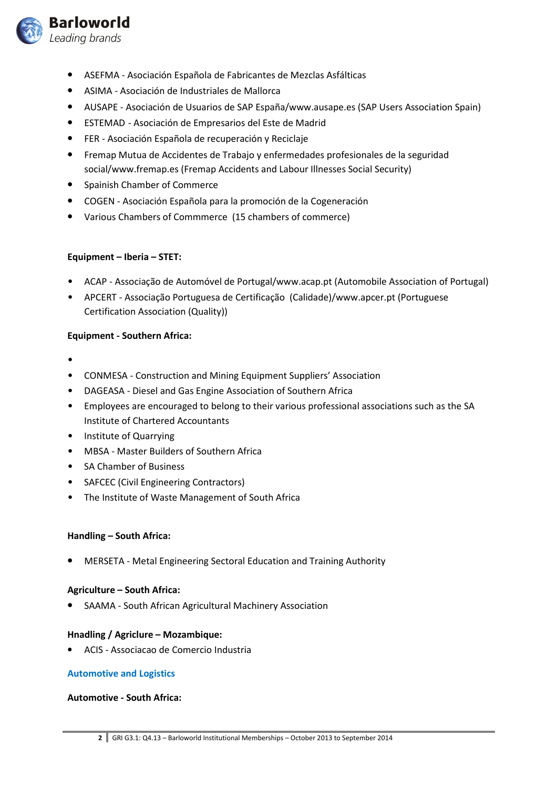

- ASEFMA Asociación Española de Fabricantes de Mezclas Asfálticas
- ASIMA Asociación de Industriales de Mallorca
- AUSAPE Asociación de Usuarios de SAP España/www.ausape.es (SAP Users Association Spain)
- ESTEMAD Asociación de Empresarios del Este de Madrid
- FER Asociación Española de recuperación y Reciclaje
- Fremap Mutua de Accidentes de Trabajo y enfermedades profesionales de la seguridad social/www.fremap.es (Fremap Accidents and Labour Illnesses Social Security)
- Spainish Chamber of Commerce
- COGEN Asociación Española para la promoción de la Cogeneración
- Various Chambers of Commmerce (15 chambers of commerce)

## Equipment – Iberia – STET:

- ACAP Associação de Automóvel de Portugal/www.acap.pt (Automobile Association of Portugal)
- APCERT Associação Portuguesa de Certificação (Calidade)/www.apcer.pt (Portuguese Certification Association (Quality))

## Equipment - Southern Africa:

- •
- CONMESA Construction and Mining Equipment Suppliers' Association
- DAGEASA Diesel and Gas Engine Association of Southern Africa
- Employees are encouraged to belong to their various professional associations such as the SA Institute of Chartered Accountants
- Institute of Quarrying
- MBSA Master Builders of Southern Africa
- SA Chamber of Business
- SAFCEC (Civil Engineering Contractors)
- The Institute of Waste Management of South Africa

## Handling – South Africa:

• MERSETA - Metal Engineering Sectoral Education and Training Authority

## Agriculture – South Africa:

• SAAMA - South African Agricultural Machinery Association

## Hnadling / Agriclure – Mozambique:

• ACIS - Associacao de Comercio Industria

## Automotive and Logistics

## Automotive - South Africa: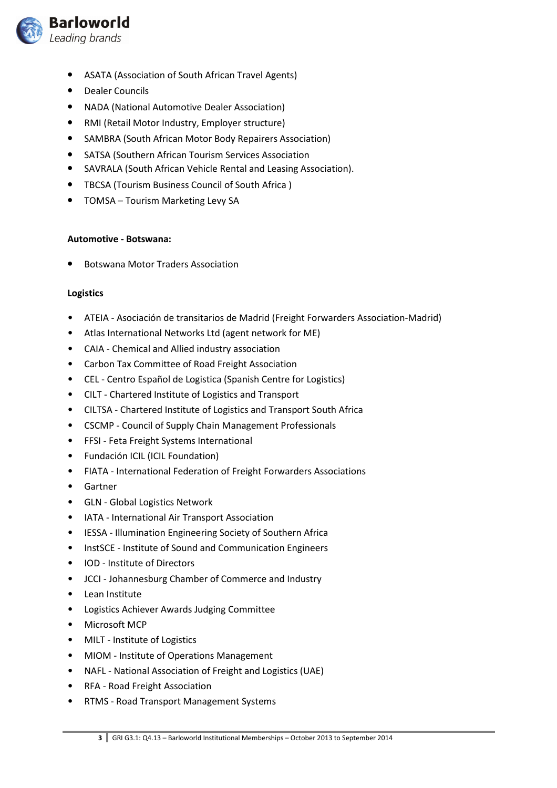

- ASATA (Association of South African Travel Agents)
- Dealer Councils
- NADA (National Automotive Dealer Association)
- RMI (Retail Motor Industry, Employer structure)
- SAMBRA (South African Motor Body Repairers Association)
- SATSA (Southern African Tourism Services Association
- SAVRALA (South African Vehicle Rental and Leasing Association).
- TBCSA (Tourism Business Council of South Africa )
- TOMSA Tourism Marketing Levy SA

# Automotive - Botswana:

• Botswana Motor Traders Association

# Logistics

- ATEIA Asociación de transitarios de Madrid (Freight Forwarders Association-Madrid)
- Atlas International Networks Ltd (agent network for ME)
- CAIA Chemical and Allied industry association
- Carbon Tax Committee of Road Freight Association
- CEL Centro Español de Logistica (Spanish Centre for Logistics)
- CILT Chartered Institute of Logistics and Transport
- CILTSA Chartered Institute of Logistics and Transport South Africa
- CSCMP Council of Supply Chain Management Professionals
- FFSI Feta Freight Systems International
- Fundación ICIL (ICIL Foundation)
- FIATA International Federation of Freight Forwarders Associations
- Gartner
- GLN Global Logistics Network
- IATA International Air Transport Association
- IESSA Illumination Engineering Society of Southern Africa
- InstSCE Institute of Sound and Communication Engineers
- IOD Institute of Directors
- JCCI Johannesburg Chamber of Commerce and Industry
- Lean Institute
- Logistics Achiever Awards Judging Committee
- Microsoft MCP
- MILT Institute of Logistics
- MIOM Institute of Operations Management
- NAFL National Association of Freight and Logistics (UAE)
- RFA Road Freight Association
- RTMS Road Transport Management Systems